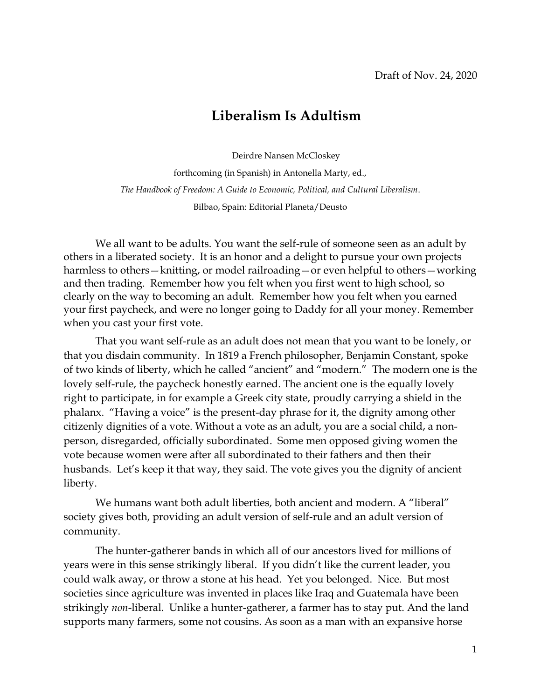## **Liberalism Is Adultism**

Deirdre Nansen McCloskey

forthcoming (in Spanish) in Antonella Marty, ed., *The Handbook of Freedom: A Guide to Economic, Political, and Cultural Liberalism*. Bilbao, Spain: Editorial Planeta/Deusto

We all want to be adults. You want the self-rule of someone seen as an adult by others in a liberated society. It is an honor and a delight to pursue your own projects harmless to others—knitting, or model railroading—or even helpful to others—working and then trading. Remember how you felt when you first went to high school, so clearly on the way to becoming an adult. Remember how you felt when you earned your first paycheck, and were no longer going to Daddy for all your money. Remember when you cast your first vote.

That you want self-rule as an adult does not mean that you want to be lonely, or that you disdain community. In 1819 a French philosopher, Benjamin Constant, spoke of two kinds of liberty, which he called "ancient" and "modern." The modern one is the lovely self-rule, the paycheck honestly earned. The ancient one is the equally lovely right to participate, in for example a Greek city state, proudly carrying a shield in the phalanx. "Having a voice" is the present-day phrase for it, the dignity among other citizenly dignities of a vote. Without a vote as an adult, you are a social child, a nonperson, disregarded, officially subordinated. Some men opposed giving women the vote because women were after all subordinated to their fathers and then their husbands. Let's keep it that way, they said. The vote gives you the dignity of ancient liberty.

We humans want both adult liberties, both ancient and modern. A "liberal" society gives both, providing an adult version of self-rule and an adult version of community.

The hunter-gatherer bands in which all of our ancestors lived for millions of years were in this sense strikingly liberal. If you didn't like the current leader, you could walk away, or throw a stone at his head. Yet you belonged. Nice. But most societies since agriculture was invented in places like Iraq and Guatemala have been strikingly *non*-liberal. Unlike a hunter-gatherer, a farmer has to stay put. And the land supports many farmers, some not cousins. As soon as a man with an expansive horse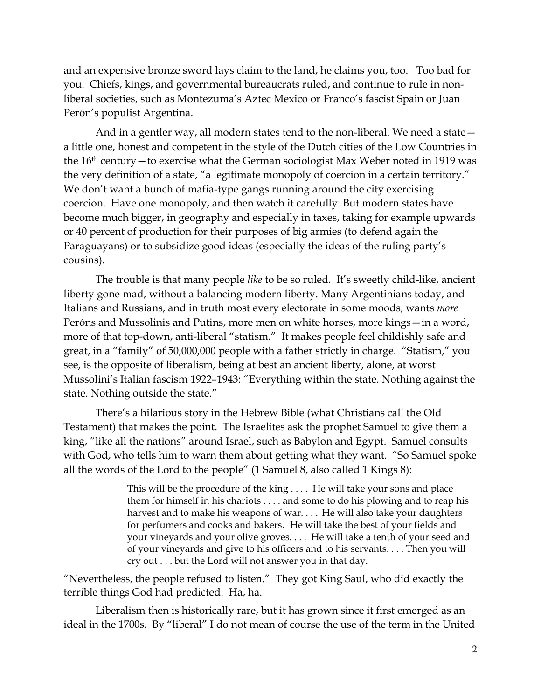and an expensive bronze sword lays claim to the land, he claims you, too. Too bad for you. Chiefs, kings, and governmental bureaucrats ruled, and continue to rule in nonliberal societies, such as Montezuma's Aztec Mexico or Franco's fascist Spain or Juan Perón's populist Argentina.

And in a gentler way, all modern states tend to the non-liberal. We need a state a little one, honest and competent in the style of the Dutch cities of the Low Countries in the 16th century—to exercise what the German sociologist Max Weber noted in 1919 was the very definition of a state, "a legitimate monopoly of coercion in a certain territory." We don't want a bunch of mafia-type gangs running around the city exercising coercion. Have one monopoly, and then watch it carefully. But modern states have become much bigger, in geography and especially in taxes, taking for example upwards or 40 percent of production for their purposes of big armies (to defend again the Paraguayans) or to subsidize good ideas (especially the ideas of the ruling party's cousins).

The trouble is that many people *like* to be so ruled. It's sweetly child-like, ancient liberty gone mad, without a balancing modern liberty. Many Argentinians today, and Italians and Russians, and in truth most every electorate in some moods, wants *more* Peróns and Mussolinis and Putins, more men on white horses, more kings—in a word, more of that top-down, anti-liberal "statism." It makes people feel childishly safe and great, in a "family" of 50,000,000 people with a father strictly in charge. "Statism," you see, is the opposite of liberalism, being at best an ancient liberty, alone, at worst Mussolini's Italian fascism 1922–1943: "Everything within the state. Nothing against the state. Nothing outside the state."

There's a hilarious story in the Hebrew Bible (what Christians call the Old Testament) that makes the point. The Israelites ask the prophet Samuel to give them a king, "like all the nations" around Israel, such as Babylon and Egypt. Samuel consults with God, who tells him to warn them about getting what they want. "So Samuel spoke all the words of the Lord to the people" (1 Samuel 8, also called 1 Kings 8):

> This will be the procedure of the king . . . . He will take your sons and place them for himself in his chariots . . . . and some to do his plowing and to reap his harvest and to make his weapons of war. . . . He will also take your daughters for perfumers and cooks and bakers. He will take the best of your fields and your vineyards and your olive groves. . . . He will take a tenth of your seed and of your vineyards and give to his officers and to his servants. . . . Then you will cry out . . . but the Lord will not answer you in that day.

"Nevertheless, the people refused to listen." They got King Saul, who did exactly the terrible things God had predicted. Ha, ha.

Liberalism then is historically rare, but it has grown since it first emerged as an ideal in the 1700s. By "liberal" I do not mean of course the use of the term in the United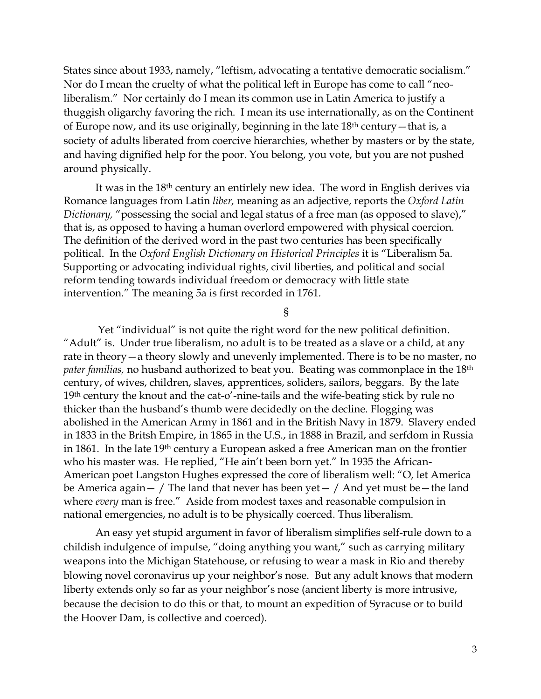States since about 1933, namely, "leftism, advocating a tentative democratic socialism." Nor do I mean the cruelty of what the political left in Europe has come to call "neoliberalism." Nor certainly do I mean its common use in Latin America to justify a thuggish oligarchy favoring the rich. I mean its use internationally, as on the Continent of Europe now, and its use originally, beginning in the late 18th century—that is, a society of adults liberated from coercive hierarchies, whether by masters or by the state, and having dignified help for the poor. You belong, you vote, but you are not pushed around physically.

It was in the 18<sup>th</sup> century an entirlely new idea. The word in English derives via Romance languages from Latin *liber,* meaning as an adjective, reports the *Oxford Latin Dictionary,* "possessing the social and legal status of a free man (as opposed to slave)," that is, as opposed to having a human overlord empowered with physical coercion. The definition of the derived word in the past two centuries has been specifically political. In the *Oxford English Dictionary on Historical Principles* it is "Liberalism 5a. Supporting or advocating individual rights, civil liberties, and political and social reform tending towards individual freedom or democracy with little state intervention." The meaning 5a is first recorded in 1761*.*

§

Yet "individual" is not quite the right word for the new political definition. "Adult" is. Under true liberalism, no adult is to be treated as a slave or a child, at any rate in theory—a theory slowly and unevenly implemented. There is to be no master, no *pater familias,* no husband authorized to beat you. Beating was commonplace in the 18th century, of wives, children, slaves, apprentices, soliders, sailors, beggars. By the late 19th century the knout and the cat-o'-nine-tails and the wife-beating stick by rule no thicker than the husband's thumb were decidedly on the decline. Flogging was abolished in the American Army in 1861 and in the British Navy in 1879. Slavery ended in 1833 in the Britsh Empire, in 1865 in the U.S., in 1888 in Brazil, and serfdom in Russia in 1861. In the late 19th century a European asked a free American man on the frontier who his master was. He replied, "He ain't been born yet." In 1935 the African-American poet Langston Hughes expressed the core of liberalism well: "O, let America be America again  $-$  / The land that never has been yet  $-$  / And yet must be  $-$  the land where *every* man is free." Aside from modest taxes and reasonable compulsion in national emergencies, no adult is to be physically coerced. Thus liberalism.

An easy yet stupid argument in favor of liberalism simplifies self-rule down to a childish indulgence of impulse, "doing anything you want," such as carrying military weapons into the Michigan Statehouse, or refusing to wear a mask in Rio and thereby blowing novel coronavirus up your neighbor's nose. But any adult knows that modern liberty extends only so far as your neighbor's nose (ancient liberty is more intrusive, because the decision to do this or that, to mount an expedition of Syracuse or to build the Hoover Dam, is collective and coerced).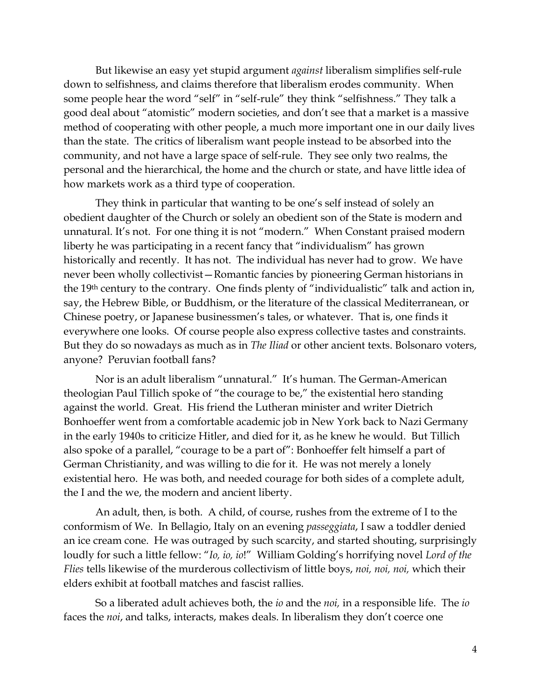But likewise an easy yet stupid argument *against* liberalism simplifies self-rule down to selfishness, and claims therefore that liberalism erodes community. When some people hear the word "self" in "self-rule" they think "selfishness." They talk a good deal about "atomistic" modern societies, and don't see that a market is a massive method of cooperating with other people, a much more important one in our daily lives than the state. The critics of liberalism want people instead to be absorbed into the community, and not have a large space of self-rule. They see only two realms, the personal and the hierarchical, the home and the church or state, and have little idea of how markets work as a third type of cooperation.

They think in particular that wanting to be one's self instead of solely an obedient daughter of the Church or solely an obedient son of the State is modern and unnatural. It's not. For one thing it is not "modern." When Constant praised modern liberty he was participating in a recent fancy that "individualism" has grown historically and recently. It has not. The individual has never had to grow. We have never been wholly collectivist—Romantic fancies by pioneering German historians in the 19th century to the contrary. One finds plenty of "individualistic" talk and action in, say, the Hebrew Bible, or Buddhism, or the literature of the classical Mediterranean, or Chinese poetry, or Japanese businessmen's tales, or whatever. That is, one finds it everywhere one looks. Of course people also express collective tastes and constraints. But they do so nowadays as much as in *The Iliad* or other ancient texts. Bolsonaro voters, anyone? Peruvian football fans?

Nor is an adult liberalism "unnatural." It's human. The German-American theologian Paul Tillich spoke of "the courage to be," the existential hero standing against the world. Great. His friend the Lutheran minister and writer Dietrich Bonhoeffer went from a comfortable academic job in New York back to Nazi Germany in the early 1940s to criticize Hitler, and died for it, as he knew he would. But Tillich also spoke of a parallel, "courage to be a part of": Bonhoeffer felt himself a part of German Christianity, and was willing to die for it. He was not merely a lonely existential hero. He was both, and needed courage for both sides of a complete adult, the I and the we, the modern and ancient liberty.

An adult, then, is both. A child, of course, rushes from the extreme of I to the conformism of We. In Bellagio, Italy on an evening *passeggiata*, I saw a toddler denied an ice cream cone. He was outraged by such scarcity, and started shouting, surprisingly loudly for such a little fellow: "*Io, io, io*!" William Golding's horrifying novel *Lord of the Flies* tells likewise of the murderous collectivism of little boys, *noi, noi, noi,* which their elders exhibit at football matches and fascist rallies.

So a liberated adult achieves both, the *io* and the *noi,* in a responsible life. The *io*  faces the *noi*, and talks, interacts, makes deals. In liberalism they don't coerce one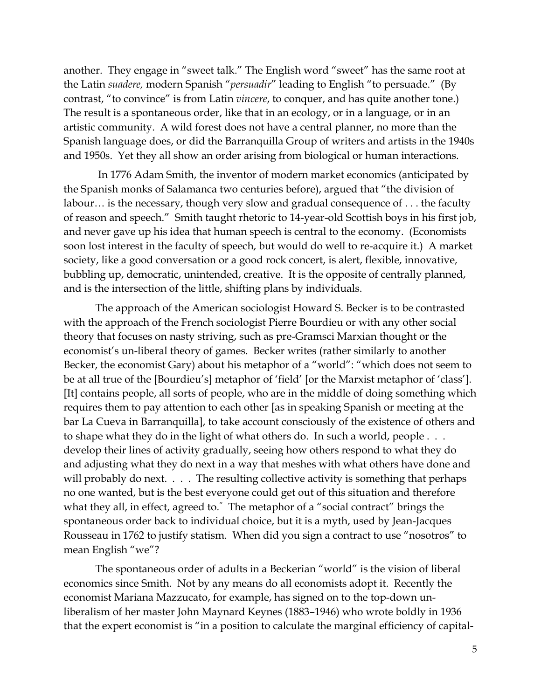another. They engage in "sweet talk." The English word "sweet" has the same root at the Latin *suadere,* modern Spanish "*persuadir*" leading to English "to persuade." (By contrast, "to convince" is from Latin *vincere*, to conquer, and has quite another tone.) The result is a spontaneous order, like that in an ecology, or in a language, or in an artistic community. A wild forest does not have a central planner, no more than the Spanish language does, or did the Barranquilla Group of writers and artists in the 1940s and 1950s. Yet they all show an order arising from biological or human interactions.

In 1776 Adam Smith, the inventor of modern market economics (anticipated by the Spanish monks of Salamanca two centuries before), argued that "the division of labour... is the necessary, though very slow and gradual consequence of ... the faculty of reason and speech." Smith taught rhetoric to 14-year-old Scottish boys in his first job, and never gave up his idea that human speech is central to the economy. (Economists soon lost interest in the faculty of speech, but would do well to re-acquire it.) A market society, like a good conversation or a good rock concert, is alert, flexible, innovative, bubbling up, democratic, unintended, creative. It is the opposite of centrally planned, and is the intersection of the little, shifting plans by individuals.

The approach of the American sociologist Howard S. Becker is to be contrasted with the approach of the French sociologist Pierre Bourdieu or with any other social theory that focuses on nasty striving, such as pre-Gramsci Marxian thought or the economist's un-liberal theory of games. Becker writes (rather similarly to another Becker, the economist Gary) about his metaphor of a "world": "which does not seem to be at all true of the [Bourdieu's] metaphor of 'field' [or the Marxist metaphor of 'class']. [It] contains people, all sorts of people, who are in the middle of doing something which requires them to pay attention to each other [as in speaking Spanish or meeting at the bar La Cueva in Barranquilla], to take account consciously of the existence of others and to shape what they do in the light of what others do. In such a world, people . . . develop their lines of activity gradually, seeing how others respond to what they do and adjusting what they do next in a way that meshes with what others have done and will probably do next. . . . The resulting collective activity is something that perhaps no one wanted, but is the best everyone could get out of this situation and therefore what they all, in effect, agreed to." The metaphor of a "social contract" brings the spontaneous order back to individual choice, but it is a myth, used by Jean-Jacques Rousseau in 1762 to justify statism. When did you sign a contract to use "nosotros" to mean English "we"?

The spontaneous order of adults in a Beckerian "world" is the vision of liberal economics since Smith. Not by any means do all economists adopt it. Recently the economist Mariana Mazzucato, for example, has signed on to the top-down unliberalism of her master John Maynard Keynes (1883–1946) who wrote boldly in 1936 that the expert economist is "in a position to calculate the marginal efficiency of capital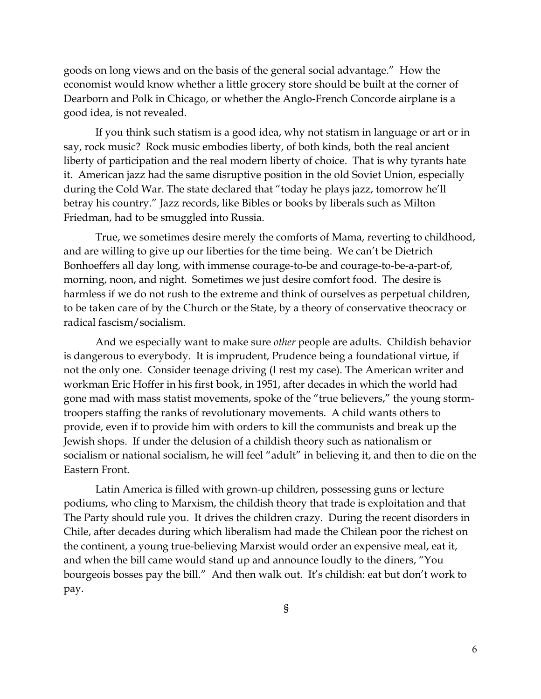goods on long views and on the basis of the general social advantage." How the economist would know whether a little grocery store should be built at the corner of Dearborn and Polk in Chicago, or whether the Anglo-French Concorde airplane is a good idea, is not revealed.

If you think such statism is a good idea, why not statism in language or art or in say, rock music? Rock music embodies liberty, of both kinds, both the real ancient liberty of participation and the real modern liberty of choice. That is why tyrants hate it. American jazz had the same disruptive position in the old Soviet Union, especially during the Cold War. The state declared that "today he plays jazz, tomorrow he'll betray his country." Jazz records, like Bibles or books by liberals such as Milton Friedman, had to be smuggled into Russia.

True, we sometimes desire merely the comforts of Mama, reverting to childhood, and are willing to give up our liberties for the time being. We can't be Dietrich Bonhoeffers all day long, with immense courage-to-be and courage-to-be-a-part-of, morning, noon, and night. Sometimes we just desire comfort food. The desire is harmless if we do not rush to the extreme and think of ourselves as perpetual children, to be taken care of by the Church or the State, by a theory of conservative theocracy or radical fascism/socialism.

And we especially want to make sure *other* people are adults. Childish behavior is dangerous to everybody. It is imprudent, Prudence being a foundational virtue, if not the only one. Consider teenage driving (I rest my case). The American writer and workman Eric Hoffer in his first book, in 1951, after decades in which the world had gone mad with mass statist movements, spoke of the "true believers," the young stormtroopers staffing the ranks of revolutionary movements. A child wants others to provide, even if to provide him with orders to kill the communists and break up the Jewish shops. If under the delusion of a childish theory such as nationalism or socialism or national socialism, he will feel "adult" in believing it, and then to die on the Eastern Front.

Latin America is filled with grown-up children, possessing guns or lecture podiums, who cling to Marxism, the childish theory that trade is exploitation and that The Party should rule you. It drives the children crazy. During the recent disorders in Chile, after decades during which liberalism had made the Chilean poor the richest on the continent, a young true-believing Marxist would order an expensive meal, eat it, and when the bill came would stand up and announce loudly to the diners, "You bourgeois bosses pay the bill." And then walk out. It's childish: eat but don't work to pay.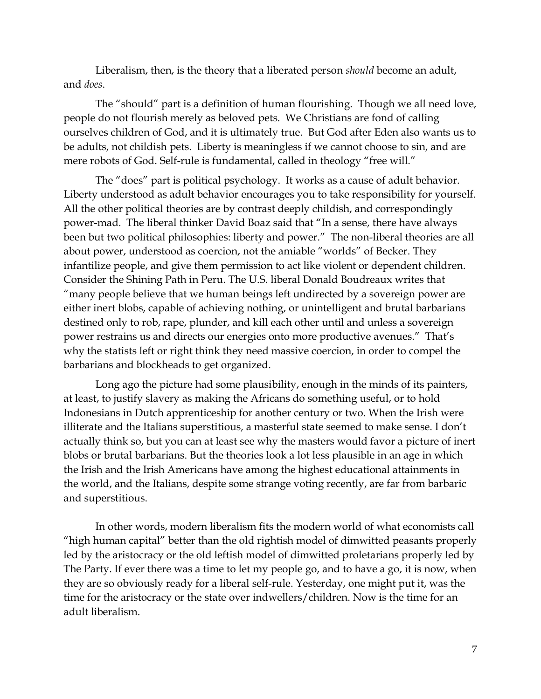Liberalism, then, is the theory that a liberated person *should* become an adult, and *does*.

The "should" part is a definition of human flourishing. Though we all need love, people do not flourish merely as beloved pets. We Christians are fond of calling ourselves children of God, and it is ultimately true. But God after Eden also wants us to be adults, not childish pets. Liberty is meaningless if we cannot choose to sin, and are mere robots of God. Self-rule is fundamental, called in theology "free will."

The "does" part is political psychology. It works as a cause of adult behavior. Liberty understood as adult behavior encourages you to take responsibility for yourself. All the other political theories are by contrast deeply childish, and correspondingly power-mad. The liberal thinker David Boaz said that "In a sense, there have always been but two political philosophies: liberty and power." The non-liberal theories are all about power, understood as coercion, not the amiable "worlds" of Becker. They infantilize people, and give them permission to act like violent or dependent children. Consider the Shining Path in Peru. The U.S. liberal Donald Boudreaux writes that "many people believe that we human beings left undirected by a sovereign power are either inert blobs, capable of achieving nothing, or unintelligent and brutal barbarians destined only to rob, rape, plunder, and kill each other until and unless a sovereign power restrains us and directs our energies onto more productive avenues." That's why the statists left or right think they need massive coercion, in order to compel the barbarians and blockheads to get organized.

Long ago the picture had some plausibility, enough in the minds of its painters, at least, to justify slavery as making the Africans do something useful, or to hold Indonesians in Dutch apprenticeship for another century or two. When the Irish were illiterate and the Italians superstitious, a masterful state seemed to make sense. I don't actually think so, but you can at least see why the masters would favor a picture of inert blobs or brutal barbarians. But the theories look a lot less plausible in an age in which the Irish and the Irish Americans have among the highest educational attainments in the world, and the Italians, despite some strange voting recently, are far from barbaric and superstitious.

In other words, modern liberalism fits the modern world of what economists call "high human capital" better than the old rightish model of dimwitted peasants properly led by the aristocracy or the old leftish model of dimwitted proletarians properly led by The Party. If ever there was a time to let my people go, and to have a go, it is now, when they are so obviously ready for a liberal self-rule. Yesterday, one might put it, was the time for the aristocracy or the state over indwellers/children. Now is the time for an adult liberalism.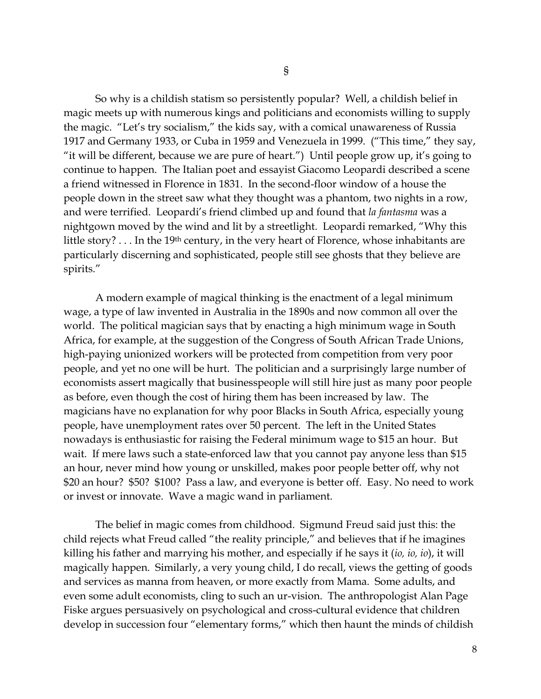So why is a childish statism so persistently popular? Well, a childish belief in magic meets up with numerous kings and politicians and economists willing to supply the magic. "Let's try socialism," the kids say, with a comical unawareness of Russia 1917 and Germany 1933, or Cuba in 1959 and Venezuela in 1999. ("This time," they say, "it will be different, because we are pure of heart.") Until people grow up, it's going to continue to happen. The Italian poet and essayist Giacomo Leopardi described a scene a friend witnessed in Florence in 1831. In the second-floor window of a house the people down in the street saw what they thought was a phantom, two nights in a row, and were terrified. Leopardi's friend climbed up and found that *la fantasma* was a nightgown moved by the wind and lit by a streetlight. Leopardi remarked, "Why this little story? . . . In the 19<sup>th</sup> century, in the very heart of Florence, whose inhabitants are particularly discerning and sophisticated, people still see ghosts that they believe are spirits."

A modern example of magical thinking is the enactment of a legal minimum wage, a type of law invented in Australia in the 1890s and now common all over the world. The political magician says that by enacting a high minimum wage in South Africa, for example, at the suggestion of the Congress of South African Trade Unions, high-paying unionized workers will be protected from competition from very poor people, and yet no one will be hurt. The politician and a surprisingly large number of economists assert magically that businesspeople will still hire just as many poor people as before, even though the cost of hiring them has been increased by law. The magicians have no explanation for why poor Blacks in South Africa, especially young people, have unemployment rates over 50 percent. The left in the United States nowadays is enthusiastic for raising the Federal minimum wage to \$15 an hour. But wait. If mere laws such a state-enforced law that you cannot pay anyone less than \$15 an hour, never mind how young or unskilled, makes poor people better off, why not \$20 an hour? \$50? \$100? Pass a law, and everyone is better off. Easy. No need to work or invest or innovate. Wave a magic wand in parliament.

The belief in magic comes from childhood. Sigmund Freud said just this: the child rejects what Freud called "the reality principle," and believes that if he imagines killing his father and marrying his mother, and especially if he says it (*io, io, io*), it will magically happen. Similarly, a very young child, I do recall, views the getting of goods and services as manna from heaven, or more exactly from Mama. Some adults, and even some adult economists, cling to such an ur-vision. The anthropologist Alan Page Fiske argues persuasively on psychological and cross-cultural evidence that children develop in succession four "elementary forms," which then haunt the minds of childish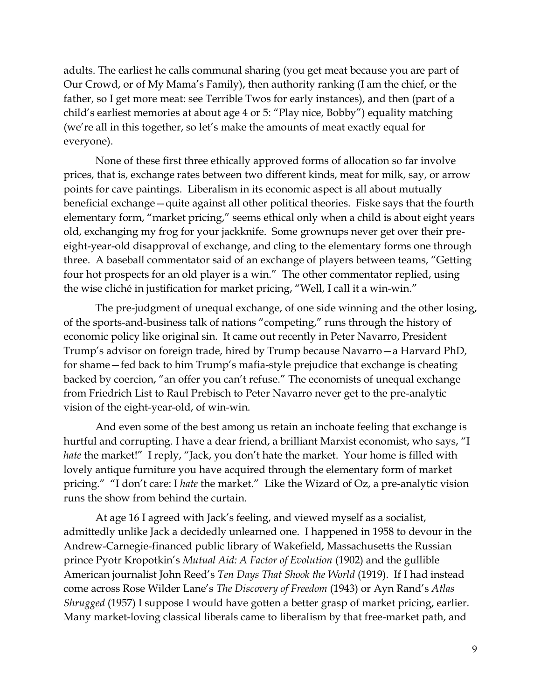adults. The earliest he calls communal sharing (you get meat because you are part of Our Crowd, or of My Mama's Family), then authority ranking (I am the chief, or the father, so I get more meat: see Terrible Twos for early instances), and then (part of a child's earliest memories at about age 4 or 5: "Play nice, Bobby") equality matching (we're all in this together, so let's make the amounts of meat exactly equal for everyone).

None of these first three ethically approved forms of allocation so far involve prices, that is, exchange rates between two different kinds, meat for milk, say, or arrow points for cave paintings. Liberalism in its economic aspect is all about mutually beneficial exchange—quite against all other political theories. Fiske says that the fourth elementary form, "market pricing," seems ethical only when a child is about eight years old, exchanging my frog for your jackknife. Some grownups never get over their preeight-year-old disapproval of exchange, and cling to the elementary forms one through three. A baseball commentator said of an exchange of players between teams, "Getting four hot prospects for an old player is a win." The other commentator replied, using the wise cliché in justification for market pricing, "Well, I call it a win-win."

The pre-judgment of unequal exchange, of one side winning and the other losing, of the sports-and-business talk of nations "competing," runs through the history of economic policy like original sin. It came out recently in Peter Navarro, President Trump's advisor on foreign trade, hired by Trump because Navarro—a Harvard PhD, for shame—fed back to him Trump's mafia-style prejudice that exchange is cheating backed by coercion, "an offer you can't refuse." The economists of unequal exchange from Friedrich List to Raul Prebisch to Peter Navarro never get to the pre-analytic vision of the eight-year-old, of win-win.

And even some of the best among us retain an inchoate feeling that exchange is hurtful and corrupting. I have a dear friend, a brilliant Marxist economist, who says, "I *hate* the market!" I reply, "Jack, you don't hate the market. Your home is filled with lovely antique furniture you have acquired through the elementary form of market pricing." "I don't care: I *hate* the market." Like the Wizard of Oz, a pre-analytic vision runs the show from behind the curtain.

At age 16 I agreed with Jack's feeling, and viewed myself as a socialist, admittedly unlike Jack a decidedly unlearned one. I happened in 1958 to devour in the Andrew-Carnegie-financed public library of Wakefield, Massachusetts the Russian prince Pyotr Kropotkin's *Mutual Aid: A Factor of Evolution* (1902) and the gullible American journalist John Reed's *Ten Days That Shook the World* (1919). If I had instead come across Rose Wilder Lane's *The Discovery of Freedom* (1943) or Ayn Rand's *Atlas Shrugged* (1957) I suppose I would have gotten a better grasp of market pricing, earlier. Many market-loving classical liberals came to liberalism by that free-market path, and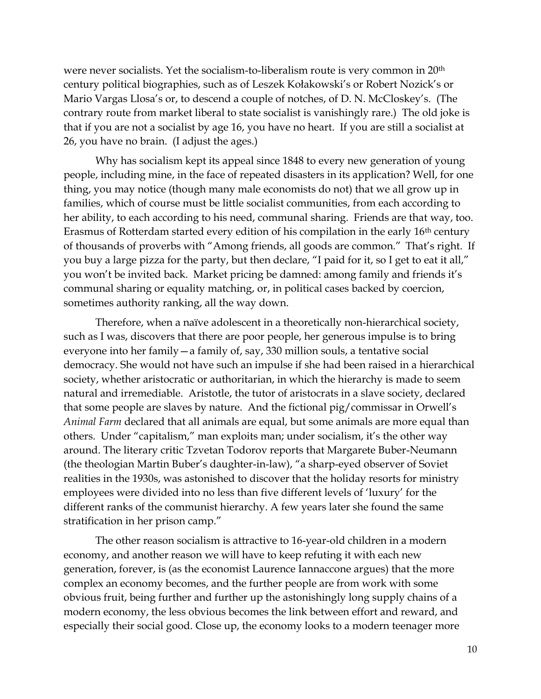were never socialists. Yet the socialism-to-liberalism route is very common in 20th century political biographies, such as of Leszek Kołakowski's or Robert Nozick's or Mario Vargas Llosa's or, to descend a couple of notches, of D. N. McCloskey's. (The contrary route from market liberal to state socialist is vanishingly rare.) The old joke is that if you are not a socialist by age 16, you have no heart. If you are still a socialist at 26, you have no brain. (I adjust the ages.)

Why has socialism kept its appeal since 1848 to every new generation of young people, including mine, in the face of repeated disasters in its application? Well, for one thing, you may notice (though many male economists do not) that we all grow up in families, which of course must be little socialist communities, from each according to her ability, to each according to his need, communal sharing. Friends are that way, too. Erasmus of Rotterdam started every edition of his compilation in the early 16<sup>th</sup> century of thousands of proverbs with "Among friends, all goods are common." That's right. If you buy a large pizza for the party, but then declare, "I paid for it, so I get to eat it all," you won't be invited back. Market pricing be damned: among family and friends it's communal sharing or equality matching, or, in political cases backed by coercion, sometimes authority ranking, all the way down.

Therefore, when a naïve adolescent in a theoretically non-hierarchical society, such as I was, discovers that there are poor people, her generous impulse is to bring everyone into her family—a family of, say, 330 million souls, a tentative social democracy. She would not have such an impulse if she had been raised in a hierarchical society, whether aristocratic or authoritarian, in which the hierarchy is made to seem natural and irremediable. Aristotle, the tutor of aristocrats in a slave society, declared that some people are slaves by nature. And the fictional pig/commissar in Orwell's *Animal Farm* declared that all animals are equal, but some animals are more equal than others. Under "capitalism," man exploits man; under socialism, it's the other way around. The literary critic Tzvetan Todorov reports that Margarete Buber-Neumann (the theologian Martin Buber's daughter-in-law), "a sharp-eyed observer of Soviet realities in the 1930s, was astonished to discover that the holiday resorts for ministry employees were divided into no less than five different levels of 'luxury' for the different ranks of the communist hierarchy. A few years later she found the same stratification in her prison camp."

The other reason socialism is attractive to 16-year-old children in a modern economy, and another reason we will have to keep refuting it with each new generation, forever, is (as the economist Laurence Iannaccone argues) that the more complex an economy becomes, and the further people are from work with some obvious fruit, being further and further up the astonishingly long supply chains of a modern economy, the less obvious becomes the link between effort and reward, and especially their social good. Close up, the economy looks to a modern teenager more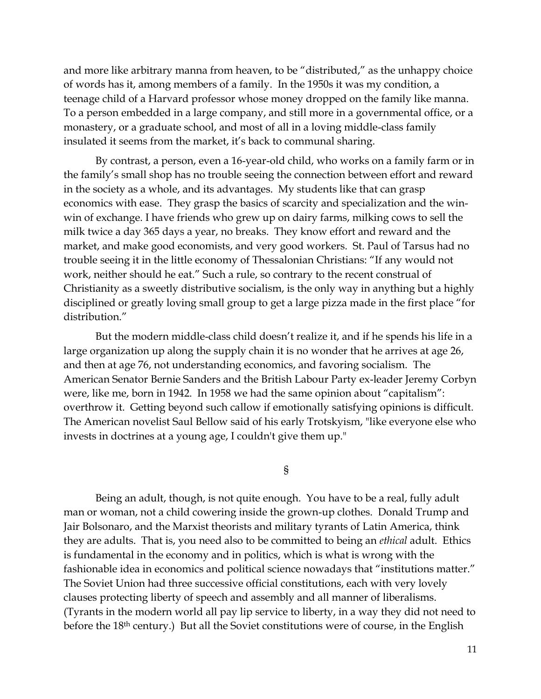and more like arbitrary manna from heaven, to be "distributed," as the unhappy choice of words has it, among members of a family. In the 1950s it was my condition, a teenage child of a Harvard professor whose money dropped on the family like manna. To a person embedded in a large company, and still more in a governmental office, or a monastery, or a graduate school, and most of all in a loving middle-class family insulated it seems from the market, it's back to communal sharing.

By contrast, a person, even a 16-year-old child, who works on a family farm or in the family's small shop has no trouble seeing the connection between effort and reward in the society as a whole, and its advantages. My students like that can grasp economics with ease. They grasp the basics of scarcity and specialization and the winwin of exchange. I have friends who grew up on dairy farms, milking cows to sell the milk twice a day 365 days a year, no breaks. They know effort and reward and the market, and make good economists, and very good workers. St. Paul of Tarsus had no trouble seeing it in the little economy of Thessalonian Christians: "If any would not work, neither should he eat." Such a rule, so contrary to the recent construal of Christianity as a sweetly distributive socialism, is the only way in anything but a highly disciplined or greatly loving small group to get a large pizza made in the first place "for distribution."

But the modern middle-class child doesn't realize it, and if he spends his life in a large organization up along the supply chain it is no wonder that he arrives at age 26, and then at age 76, not understanding economics, and favoring socialism. The American Senator Bernie Sanders and the British Labour Party ex-leader Jeremy Corbyn were, like me, born in 1942. In 1958 we had the same opinion about "capitalism": overthrow it. Getting beyond such callow if emotionally satisfying opinions is difficult. The American novelist Saul Bellow said of his early Trotskyism, "like everyone else who invests in doctrines at a young age, I couldn't give them up."

§

Being an adult, though, is not quite enough. You have to be a real, fully adult man or woman, not a child cowering inside the grown-up clothes. Donald Trump and Jair Bolsonaro, and the Marxist theorists and military tyrants of Latin America, think they are adults. That is, you need also to be committed to being an *ethical* adult. Ethics is fundamental in the economy and in politics, which is what is wrong with the fashionable idea in economics and political science nowadays that "institutions matter." The Soviet Union had three successive official constitutions, each with very lovely clauses protecting liberty of speech and assembly and all manner of liberalisms. (Tyrants in the modern world all pay lip service to liberty, in a way they did not need to before the 18<sup>th</sup> century.) But all the Soviet constitutions were of course, in the English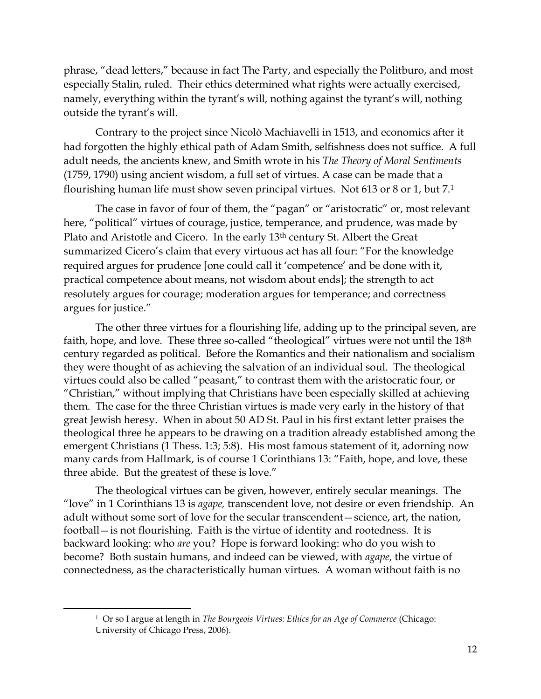phrase, "dead letters," because in fact The Party, and especially the Politburo, and most especially Stalin, ruled. Their ethics determined what rights were actually exercised, namely, everything within the tyrant's will, nothing against the tyrant's will, nothing outside the tyrant's will.

Contrary to the project since Nicolò Machiavelli in 1513, and economics after it had forgotten the highly ethical path of Adam Smith, selfishness does not suffice. A full adult needs, the ancients knew, and Smith wrote in his *The Theory of Moral Sentiments*  (1759, 1790) using ancient wisdom, a full set of virtues. A case can be made that a flourishing human life must show seven principal virtues. Not 613 or 8 or 1, but 7.<sup>1</sup>

The case in favor of four of them, the "pagan" or "aristocratic" or, most relevant here, "political" virtues of courage, justice, temperance, and prudence, was made by Plato and Aristotle and Cicero. In the early 13<sup>th</sup> century St. Albert the Great summarized Cicero's claim that every virtuous act has all four: "For the knowledge required argues for prudence [one could call it 'competence' and be done with it, practical competence about means, not wisdom about ends]; the strength to act resolutely argues for courage; moderation argues for temperance; and correctness argues for justice."

The other three virtues for a flourishing life, adding up to the principal seven, are faith, hope, and love. These three so-called "theological" virtues were not until the 18<sup>th</sup> century regarded as political. Before the Romantics and their nationalism and socialism they were thought of as achieving the salvation of an individual soul. The theological virtues could also be called "peasant," to contrast them with the aristocratic four, or "Christian," without implying that Christians have been especially skilled at achieving them. The case for the three Christian virtues is made very early in the history of that great Jewish heresy. When in about 50 AD St. Paul in his first extant letter praises the theological three he appears to be drawing on a tradition already established among the emergent Christians (1 Thess. 1:3; 5:8). His most famous statement of it, adorning now many cards from Hallmark, is of course 1 Corinthians 13: "Faith, hope, and love, these three abide. But the greatest of these is love."

The theological virtues can be given, however, entirely secular meanings. The "love" in 1 Corinthians 13 is *agape,* transcendent love, not desire or even friendship*.* An adult without some sort of love for the secular transcendent—science, art, the nation, football—is not flourishing. Faith is the virtue of identity and rootedness. It is backward looking: who *are* you? Hope is forward looking: who do you wish to become? Both sustain humans, and indeed can be viewed, with *agape*, the virtue of connectedness, as the characteristically human virtues. A woman without faith is no

<sup>1</sup> Or so I argue at length in *The Bourgeois Virtues: Ethics for an Age of Commerce* (Chicago: University of Chicago Press, 2006).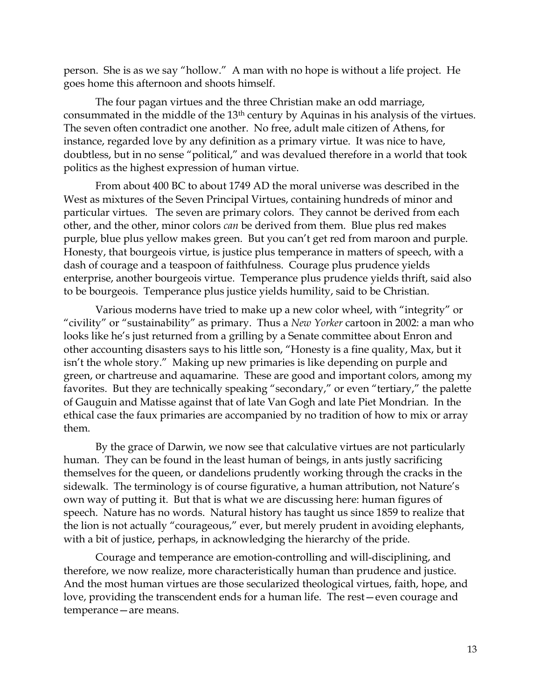person. She is as we say "hollow." A man with no hope is without a life project. He goes home this afternoon and shoots himself.

The four pagan virtues and the three Christian make an odd marriage, consummated in the middle of the 13th century by Aquinas in his analysis of the virtues. The seven often contradict one another. No free, adult male citizen of Athens, for instance, regarded love by any definition as a primary virtue. It was nice to have, doubtless, but in no sense "political," and was devalued therefore in a world that took politics as the highest expression of human virtue.

From about 400 BC to about 1749 AD the moral universe was described in the West as mixtures of the Seven Principal Virtues, containing hundreds of minor and particular virtues. The seven are primary colors. They cannot be derived from each other, and the other, minor colors *can* be derived from them. Blue plus red makes purple, blue plus yellow makes green. But you can't get red from maroon and purple. Honesty, that bourgeois virtue, is justice plus temperance in matters of speech, with a dash of courage and a teaspoon of faithfulness. Courage plus prudence yields enterprise, another bourgeois virtue. Temperance plus prudence yields thrift, said also to be bourgeois. Temperance plus justice yields humility, said to be Christian.

Various moderns have tried to make up a new color wheel, with "integrity" or "civility" or "sustainability" as primary. Thus a *New Yorker* cartoon in 2002: a man who looks like he's just returned from a grilling by a Senate committee about Enron and other accounting disasters says to his little son, "Honesty is a fine quality, Max, but it isn't the whole story." Making up new primaries is like depending on purple and green, or chartreuse and aquamarine. These are good and important colors, among my favorites. But they are technically speaking "secondary," or even "tertiary," the palette of Gauguin and Matisse against that of late Van Gogh and late Piet Mondrian. In the ethical case the faux primaries are accompanied by no tradition of how to mix or array them.

By the grace of Darwin, we now see that calculative virtues are not particularly human. They can be found in the least human of beings, in ants justly sacrificing themselves for the queen, or dandelions prudently working through the cracks in the sidewalk. The terminology is of course figurative, a human attribution, not Nature's own way of putting it. But that is what we are discussing here: human figures of speech. Nature has no words. Natural history has taught us since 1859 to realize that the lion is not actually "courageous," ever, but merely prudent in avoiding elephants, with a bit of justice, perhaps, in acknowledging the hierarchy of the pride.

Courage and temperance are emotion-controlling and will-disciplining, and therefore, we now realize, more characteristically human than prudence and justice. And the most human virtues are those secularized theological virtues, faith, hope, and love, providing the transcendent ends for a human life. The rest—even courage and temperance—are means.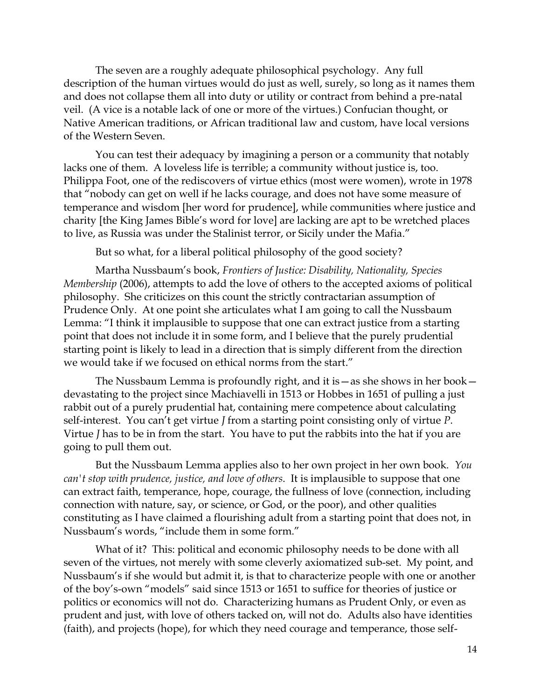The seven are a roughly adequate philosophical psychology. Any full description of the human virtues would do just as well, surely, so long as it names them and does not collapse them all into duty or utility or contract from behind a pre-natal veil. (A vice is a notable lack of one or more of the virtues.) Confucian thought, or Native American traditions, or African traditional law and custom, have local versions of the Western Seven.

You can test their adequacy by imagining a person or a community that notably lacks one of them. A loveless life is terrible; a community without justice is, too. Philippa Foot, one of the rediscovers of virtue ethics (most were women), wrote in 1978 that "nobody can get on well if he lacks courage, and does not have some measure of temperance and wisdom [her word for prudence], while communities where justice and charity [the King James Bible's word for love] are lacking are apt to be wretched places to live, as Russia was under the Stalinist terror, or Sicily under the Mafia."

But so what, for a liberal political philosophy of the good society?

Martha Nussbaum's book, *Frontiers of Justice: Disability, Nationality, Species Membership* (2006), attempts to add the love of others to the accepted axioms of political philosophy. She criticizes on this count the strictly contractarian assumption of Prudence Only. At one point she articulates what I am going to call the Nussbaum Lemma: "I think it implausible to suppose that one can extract justice from a starting point that does not include it in some form, and I believe that the purely prudential starting point is likely to lead in a direction that is simply different from the direction we would take if we focused on ethical norms from the start."

The Nussbaum Lemma is profoundly right, and it is—as she shows in her book devastating to the project since Machiavelli in 1513 or Hobbes in 1651 of pulling a just rabbit out of a purely prudential hat, containing mere competence about calculating self-interest. You can't get virtue *J* from a starting point consisting only of virtue *P*. Virtue *J* has to be in from the start. You have to put the rabbits into the hat if you are going to pull them out.

But the Nussbaum Lemma applies also to her own project in her own book. *You can't stop with prudence, justice, and love of others*. It is implausible to suppose that one can extract faith, temperance, hope, courage, the fullness of love (connection, including connection with nature, say, or science, or God, or the poor), and other qualities constituting as I have claimed a flourishing adult from a starting point that does not, in Nussbaum's words, "include them in some form."

What of it? This: political and economic philosophy needs to be done with all seven of the virtues, not merely with some cleverly axiomatized sub-set. My point, and Nussbaum's if she would but admit it, is that to characterize people with one or another of the boy's-own "models" said since 1513 or 1651 to suffice for theories of justice or politics or economics will not do. Characterizing humans as Prudent Only, or even as prudent and just, with love of others tacked on, will not do. Adults also have identities (faith), and projects (hope), for which they need courage and temperance, those self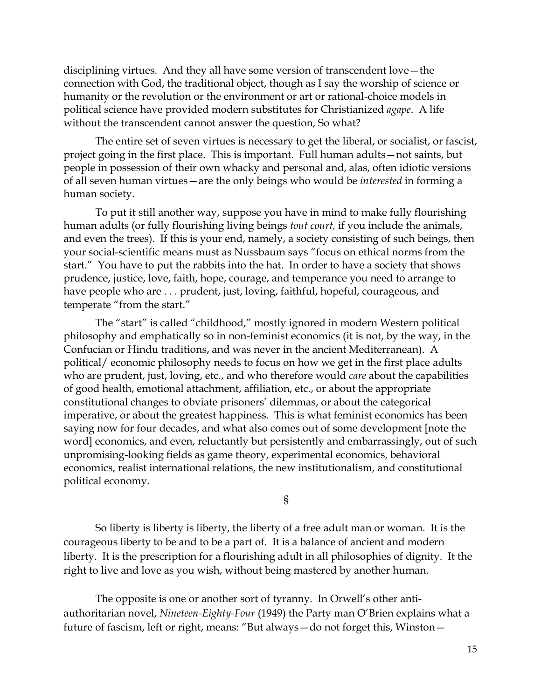disciplining virtues. And they all have some version of transcendent love—the connection with God, the traditional object, though as I say the worship of science or humanity or the revolution or the environment or art or rational-choice models in political science have provided modern substitutes for Christianized *agape*. A life without the transcendent cannot answer the question, So what?

The entire set of seven virtues is necessary to get the liberal, or socialist, or fascist, project going in the first place. This is important. Full human adults—not saints, but people in possession of their own whacky and personal and, alas, often idiotic versions of all seven human virtues—are the only beings who would be *interested* in forming a human society.

To put it still another way, suppose you have in mind to make fully flourishing human adults (or fully flourishing living beings *tout court,* if you include the animals, and even the trees). If this is your end, namely, a society consisting of such beings, then your social-scientific means must as Nussbaum says "focus on ethical norms from the start." You have to put the rabbits into the hat. In order to have a society that shows prudence, justice, love, faith, hope, courage, and temperance you need to arrange to have people who are . . . prudent, just, loving, faithful, hopeful, courageous, and temperate "from the start."

The "start" is called "childhood," mostly ignored in modern Western political philosophy and emphatically so in non-feminist economics (it is not, by the way, in the Confucian or Hindu traditions, and was never in the ancient Mediterranean). A political/ economic philosophy needs to focus on how we get in the first place adults who are prudent, just, loving, etc., and who therefore would *care* about the capabilities of good health, emotional attachment, affiliation, etc., or about the appropriate constitutional changes to obviate prisoners' dilemmas, or about the categorical imperative, or about the greatest happiness. This is what feminist economics has been saying now for four decades, and what also comes out of some development [note the word] economics, and even, reluctantly but persistently and embarrassingly, out of such unpromising-looking fields as game theory, experimental economics, behavioral economics, realist international relations, the new institutionalism, and constitutional political economy.

§

So liberty is liberty is liberty, the liberty of a free adult man or woman. It is the courageous liberty to be and to be a part of. It is a balance of ancient and modern liberty. It is the prescription for a flourishing adult in all philosophies of dignity. It the right to live and love as you wish, without being mastered by another human.

The opposite is one or another sort of tyranny. In Orwell's other antiauthoritarian novel, *Nineteen-Eighty-Four* (1949) the Party man O'Brien explains what a future of fascism, left or right, means: "But always—do not forget this, Winston